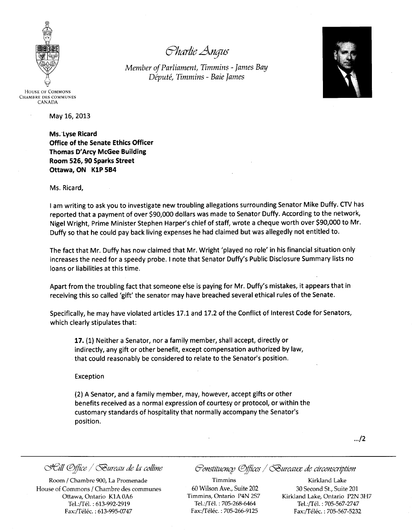

*cYhtfrlie Angus*

*Member of Parliament, Timmins - James Bay Depute, Timmins - Baie James*



HOUSE OF COMMONS CHAMBRE DES COMMUNES CANADA

May 16, 2013

Ms. 'Lyse Ricard Office of the Senate Ethics Officer Thomas D'Arcy McGee Building Room 526, 90 Sparks Street Ottawa, ON KiP 5B4

Ms. Ricard,

I am writing to ask you to investigate new troubling allegations surrounding Senator Mike DUffy. CTV has reported that a payment of over \$90,000 dollars was made to Senator Duffy. According to the network, Nigel Wright, Prime Minister Stephen Harper's chief of staff, wrote a cheque worth over \$90,000 to Mr. Duffy so that he could pay back living expenses he had claimed but was allegedly not entitled to.

The fact that Mr. Duffy has now claimed that Mr. Wright 'played no role' in his financial situation only increases the need for a speedy probe. I note that Senator Duffy's Public Disclosure Summary lists no loans or liabilities at this time.

Apart from the troubling fact that someone else is paying for Mr. Duffy's mistakes, it appears that in receiving this so called 'gift' the senator may have breached several ethical rules of the Senate.

Specifically, he may have violated articles 17.1 and 17.2 of the Conflict of Interest Code for Senators, which clearly stipulates that:

17. (1) Neither a Senator, nor a family member, shall accept, directly or indirectly, any gift or other benefit, except compensation authorized by law, that could reasonably be considered to relate to the Senator's position.

Exception

(2) A Senator, and a family member, may, however, accept gifts or other benefits received as a normal expression of courtesy or protocol, or within the customary standards of hospitality that normally accompany the Senator's position.

 $\frac{1}{2}$ 

Room / Chambre 900, La Promenade House of Commons / Chambre des communes Ottawa, Ontario KIA OA6 Tel.:/Tél.: 613-992-2919 Fax:/Téléc.: 613-995-0747

*c:JJell ®jJice / ~ureau de fa colline ~ollS!ltuencp ®j!!ces / ~uretfll.Z de circollScnjJtion*

Timmins 60 Wilson Ave., Suite 202 Timmins, Ontario P4N 257 Tel.:/Tél. : 705-268-6464 Fax:/Téléc. : 705-266-9125

Kirkland Lake 30 Second St., Suite 201 Kirkland Lake, Ontario P2N 3H7 Tel.:/Tél.: 705-567-2747 Fax:/Téléc.: 705-567-5232